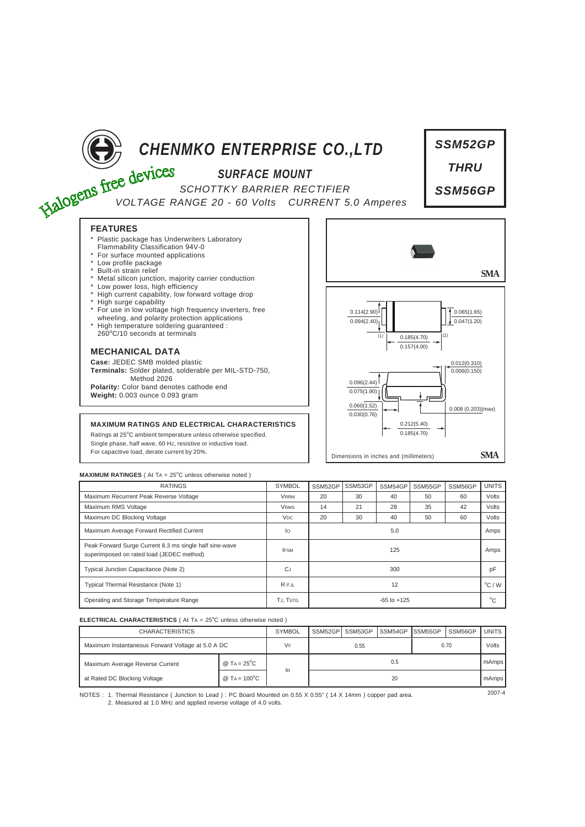

| <b>RATINGS</b>                                                                                       | <b>SYMBOL</b>         | SSM52GP         | SSM53GP | SSM54GP | SSM55GP | SSM56GP | <b>UNITS</b> |
|------------------------------------------------------------------------------------------------------|-----------------------|-----------------|---------|---------|---------|---------|--------------|
| Maximum Recurrent Peak Reverse Voltage                                                               | <b>VRRM</b>           | 20              | 30      | 40      | 50      | 60      | Volts        |
| Maximum RMS Voltage                                                                                  | <b>VRMS</b>           | 14              | 21      | 28      | 35      | 42      | Volts        |
| Maximum DC Blocking Voltage                                                                          | <b>V<sub>DC</sub></b> | 20              | 30      | 40      | 50      | 60      | Volts        |
| Maximum Average Forward Rectified Current                                                            | lo                    | 5.0             |         |         |         |         | Amps         |
| Peak Forward Surge Current 8.3 ms single half sine-wave<br>superimposed on rated load (JEDEC method) | <b>IFSM</b>           | 125             |         |         |         |         | Amps         |
| Typical Junction Capacitance (Note 2)                                                                | CJ                    | 300             |         |         |         |         |              |
| Typical Thermal Resistance (Note 1)                                                                  | $R \theta$ JL         | 12              |         |         |         |         |              |
| Operating and Storage Temperature Range                                                              | TJ. TSTG              | $-65$ to $+125$ |         |         |         |         |              |

## **ELECTRICAL CHARACTERISTICS** ( At TA = 25°C unless otherwise noted )

| <b>CHARACTERISTICS</b>                            |                                   | <b>SYMBOL</b> | SSM52GPI | SSM53GP | <b>ISSM54GP ISSM55GP</b> |      | SSM56GP | <b>UNITS</b> |
|---------------------------------------------------|-----------------------------------|---------------|----------|---------|--------------------------|------|---------|--------------|
| Maximum Instantaneous Forward Voltage at 5.0 A DC |                                   | VF            | 0.55     |         |                          | 0.70 |         | Volts        |
| Maximum Average Reverse Current                   | @ T <sub>A</sub> = $25^{\circ}$ C |               | 0.5      |         |                          |      |         | mAmps        |
| at Rated DC Blocking Voltage                      | @ TA = $100^{\circ}$ C            | IR            | 20       |         |                          |      | mAmps   |              |

NOTES : 1. Thermal Resistance ( Junction to Lead ) : PC Board Mounted on 0.55 X 0.55" ( 14 X 14mm ) copper pad area.  $2007-4$ 2. Measured at 1.0 MHz and applied reverse voltage of 4.0 volts.